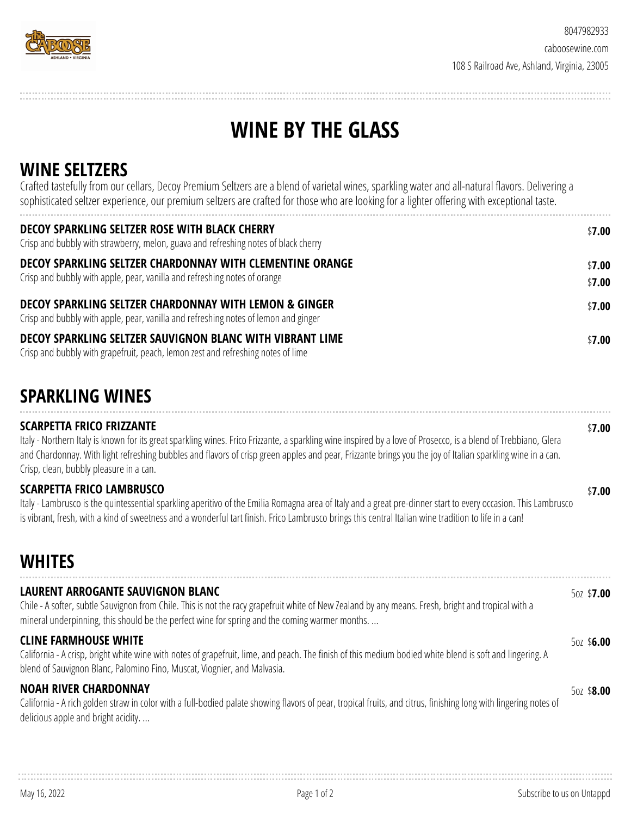

# **WINE BY THE GLASS**

#### **WINE SELTZERS**

Crafted tastefully from our cellars, Decoy Premium Seltzers are a blend of varietal wines, sparkling water and all-natural flavors. Delivering a sophisticated seltzer experience, our premium seltzers are crafted for those who are looking for a lighter offering with exceptional taste.

| DECOY SPARKLING SELTZER ROSE WITH BLACK CHERRY<br>Crisp and bubbly with strawberry, melon, guava and refreshing notes of black cherry                    | \$7.00           |
|----------------------------------------------------------------------------------------------------------------------------------------------------------|------------------|
| DECOY SPARKLING SELTZER CHARDONNAY WITH CLEMENTINE ORANGE<br>Crisp and bubbly with apple, pear, vanilla and refreshing notes of orange                   | \$7.00<br>\$7.00 |
| <b>DECOY SPARKLING SELTZER CHARDONNAY WITH LEMON &amp; GINGER</b><br>Crisp and bubbly with apple, pear, vanilla and refreshing notes of lemon and ginger | \$7.00           |
| DECOY SPARKLING SELTZER SAUVIGNON BLANC WITH VIBRANT LIME<br>Crisp and bubbly with grapefruit, peach, lemon zest and refreshing notes of lime            | \$7.00           |

## **SPARKLING WINES**

**SCARPETTA FRICO FRIZZANTE** Italy - Northern Italy is known for its great sparkling wines. Frico Frizzante, a sparkling wine inspired by a love of Prosecco, is a blend of Trebbiano, Glera and Chardonnay. With light refreshing bubbles and flavors of crisp green apples and pear, Frizzante brings you the joy of Italian sparkling wine in a can. Crisp, clean, bubbly pleasure in a can. \$**7.00 SCARPETTA FRICO LAMBRUSCO** \$**7.00**

Italy - Lambrusco is the quintessential sparkling aperitivo of the Emilia Romagna area of Italy and a great pre-dinner start to every occasion. This Lambrusco is vibrant, fresh, with a kind of sweetness and a wonderful tart finish. Frico Lambrusco brings this central Italian wine tradition to life in a can!

## **WHITES**

| LAURENT ARROGANTE SAUVIGNON BLANC<br>Chile - A softer, subtle Sauvignon from Chile. This is not the racy grapefruit white of New Zealand by any means. Fresh, bright and tropical with a<br>mineral underpinning, this should be the perfect wine for spring and the coming warmer months. | 50Z \$7.00 |
|--------------------------------------------------------------------------------------------------------------------------------------------------------------------------------------------------------------------------------------------------------------------------------------------|------------|
| <b>CLINE FARMHOUSE WHITE</b><br>California - A crisp, bright white wine with notes of grapefruit, lime, and peach. The finish of this medium bodied white blend is soft and lingering. A<br>blend of Sauvignon Blanc, Palomino Fino, Muscat, Viognier, and Malvasia.                       | 50Z \$6.00 |
| <b>NOAH RIVER CHARDONNAY</b><br>California - A rich golden straw in color with a full-bodied palate showing flavors of pear, tropical fruits, and citrus, finishing long with lingering notes of<br>delicious apple and bright acidity                                                     | 50Z \$8.00 |